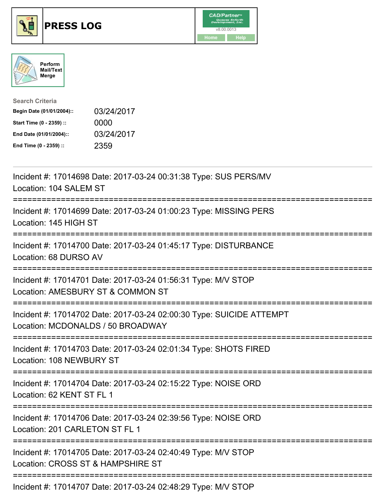





| <b>Search Criteria</b>    |            |
|---------------------------|------------|
| Begin Date (01/01/2004):: | 03/24/2017 |
| Start Time (0 - 2359) ::  | 0000       |
| End Date (01/01/2004)::   | 03/24/2017 |
| End Time (0 - 2359) ::    | 2359       |

| Incident #: 17014698 Date: 2017-03-24 00:31:38 Type: SUS PERS/MV<br>Location: 104 SALEM ST                     |
|----------------------------------------------------------------------------------------------------------------|
| Incident #: 17014699 Date: 2017-03-24 01:00:23 Type: MISSING PERS<br>Location: 145 HIGH ST                     |
| Incident #: 17014700 Date: 2017-03-24 01:45:17 Type: DISTURBANCE<br>Location: 68 DURSO AV<br>================= |
| Incident #: 17014701 Date: 2017-03-24 01:56:31 Type: M/V STOP<br>Location: AMESBURY ST & COMMON ST             |
| Incident #: 17014702 Date: 2017-03-24 02:00:30 Type: SUICIDE ATTEMPT<br>Location: MCDONALDS / 50 BROADWAY      |
| Incident #: 17014703 Date: 2017-03-24 02:01:34 Type: SHOTS FIRED<br>Location: 108 NEWBURY ST                   |
| Incident #: 17014704 Date: 2017-03-24 02:15:22 Type: NOISE ORD<br>Location: 62 KENT ST FL 1                    |
| Incident #: 17014706 Date: 2017-03-24 02:39:56 Type: NOISE ORD<br>Location: 201 CARLETON ST FL 1               |
| Incident #: 17014705 Date: 2017-03-24 02:40:49 Type: M/V STOP<br>Location: CROSS ST & HAMPSHIRE ST             |
| Incident #: 17014707 Date: 2017-03-24 02:48:29 Type: M/V STOP                                                  |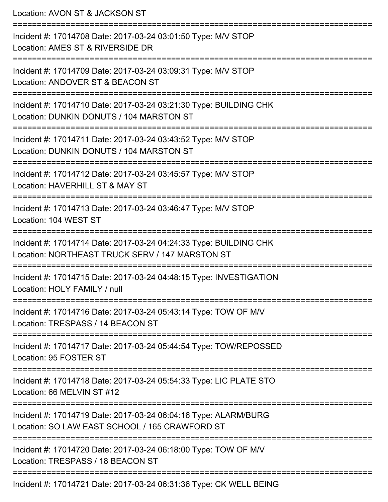Location: AVON ST & JACKSON ST =========================================================================== Incident #: 17014708 Date: 2017-03-24 03:01:50 Type: M/V STOP Location: AMES ST & RIVERSIDE DR =========================================================================== Incident #: 17014709 Date: 2017-03-24 03:09:31 Type: M/V STOP Location: ANDOVER ST & BEACON ST =========================================================================== Incident #: 17014710 Date: 2017-03-24 03:21:30 Type: BUILDING CHK Location: DUNKIN DONUTS / 104 MARSTON ST =========================================================================== Incident #: 17014711 Date: 2017-03-24 03:43:52 Type: M/V STOP Location: DUNKIN DONUTS / 104 MARSTON ST =========================================================================== Incident #: 17014712 Date: 2017-03-24 03:45:57 Type: M/V STOP Location: HAVERHILL ST & MAY ST =========================================================================== Incident #: 17014713 Date: 2017-03-24 03:46:47 Type: M/V STOP Location: 104 WEST ST =========================================================================== Incident #: 17014714 Date: 2017-03-24 04:24:33 Type: BUILDING CHK Location: NORTHEAST TRUCK SERV / 147 MARSTON ST =========================================================================== Incident #: 17014715 Date: 2017-03-24 04:48:15 Type: INVESTIGATION Location: HOLY FAMILY / null =========================================================================== Incident #: 17014716 Date: 2017-03-24 05:43:14 Type: TOW OF M/V Location: TRESPASS / 14 BEACON ST =========================================================================== Incident #: 17014717 Date: 2017-03-24 05:44:54 Type: TOW/REPOSSED Location: 95 FOSTER ST =========================================================================== Incident #: 17014718 Date: 2017-03-24 05:54:33 Type: LIC PLATE STO Location: 66 MELVIN ST #12 =========================================================================== Incident #: 17014719 Date: 2017-03-24 06:04:16 Type: ALARM/BURG Location: SO LAW EAST SCHOOL / 165 CRAWFORD ST =========================================================================== Incident #: 17014720 Date: 2017-03-24 06:18:00 Type: TOW OF M/V Location: TRESPASS / 18 BEACON ST =========================================================================== Incident #: 17014721 Date: 2017-03-24 06:31:36 Type: CK WELL BEING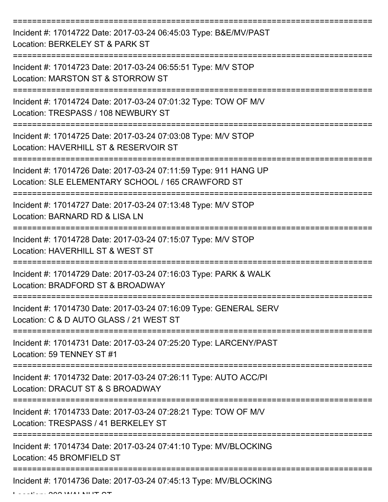| Incident #: 17014722 Date: 2017-03-24 06:45:03 Type: B&E/MV/PAST<br>Location: BERKELEY ST & PARK ST                   |
|-----------------------------------------------------------------------------------------------------------------------|
| Incident #: 17014723 Date: 2017-03-24 06:55:51 Type: M/V STOP<br>Location: MARSTON ST & STORROW ST                    |
| Incident #: 17014724 Date: 2017-03-24 07:01:32 Type: TOW OF M/V<br>Location: TRESPASS / 108 NEWBURY ST                |
| Incident #: 17014725 Date: 2017-03-24 07:03:08 Type: M/V STOP<br>Location: HAVERHILL ST & RESERVOIR ST                |
| Incident #: 17014726 Date: 2017-03-24 07:11:59 Type: 911 HANG UP<br>Location: SLE ELEMENTARY SCHOOL / 165 CRAWFORD ST |
| Incident #: 17014727 Date: 2017-03-24 07:13:48 Type: M/V STOP<br>Location: BARNARD RD & LISA LN                       |
| Incident #: 17014728 Date: 2017-03-24 07:15:07 Type: M/V STOP<br>Location: HAVERHILL ST & WEST ST                     |
| Incident #: 17014729 Date: 2017-03-24 07:16:03 Type: PARK & WALK<br>Location: BRADFORD ST & BROADWAY                  |
| Incident #: 17014730 Date: 2017-03-24 07:16:09 Type: GENERAL SERV<br>Location: C & D AUTO GLASS / 21 WEST ST          |
| Incident #: 17014731 Date: 2017-03-24 07:25:20 Type: LARCENY/PAST<br>Location: 59 TENNEY ST #1                        |
| Incident #: 17014732 Date: 2017-03-24 07:26:11 Type: AUTO ACC/PI<br>Location: DRACUT ST & S BROADWAY                  |
| Incident #: 17014733 Date: 2017-03-24 07:28:21 Type: TOW OF M/V<br>Location: TRESPASS / 41 BERKELEY ST                |
| Incident #: 17014734 Date: 2017-03-24 07:41:10 Type: MV/BLOCKING<br>Location: 45 BROMFIELD ST                         |
| Incident #: 17014736 Date: 2017-03-24 07:45:13 Type: MV/BLOCKING                                                      |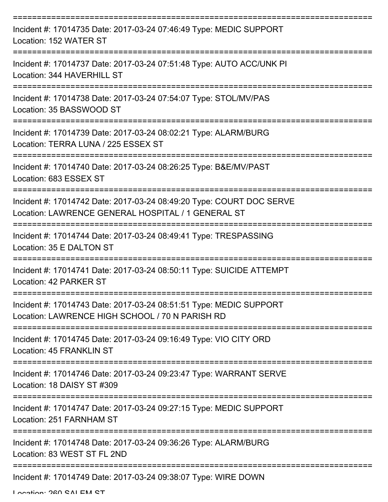| Incident #: 17014735 Date: 2017-03-24 07:46:49 Type: MEDIC SUPPORT<br>Location: 152 WATER ST                               |
|----------------------------------------------------------------------------------------------------------------------------|
| Incident #: 17014737 Date: 2017-03-24 07:51:48 Type: AUTO ACC/UNK PI<br>Location: 344 HAVERHILL ST                         |
| Incident #: 17014738 Date: 2017-03-24 07:54:07 Type: STOL/MV/PAS<br>Location: 35 BASSWOOD ST                               |
| Incident #: 17014739 Date: 2017-03-24 08:02:21 Type: ALARM/BURG<br>Location: TERRA LUNA / 225 ESSEX ST                     |
| Incident #: 17014740 Date: 2017-03-24 08:26:25 Type: B&E/MV/PAST<br>Location: 683 ESSEX ST                                 |
| Incident #: 17014742 Date: 2017-03-24 08:49:20 Type: COURT DOC SERVE<br>Location: LAWRENCE GENERAL HOSPITAL / 1 GENERAL ST |
| Incident #: 17014744 Date: 2017-03-24 08:49:41 Type: TRESPASSING<br>Location: 35 E DALTON ST<br>============               |
| Incident #: 17014741 Date: 2017-03-24 08:50:11 Type: SUICIDE ATTEMPT<br>Location: 42 PARKER ST                             |
| Incident #: 17014743 Date: 2017-03-24 08:51:51 Type: MEDIC SUPPORT<br>Location: LAWRENCE HIGH SCHOOL / 70 N PARISH RD      |
| Incident #: 17014745 Date: 2017-03-24 09:16:49 Type: VIO CITY ORD<br><b>Location: 45 FRANKLIN ST</b>                       |
| Incident #: 17014746 Date: 2017-03-24 09:23:47 Type: WARRANT SERVE<br>Location: 18 DAISY ST #309                           |
| Incident #: 17014747 Date: 2017-03-24 09:27:15 Type: MEDIC SUPPORT<br>Location: 251 FARNHAM ST                             |
| Incident #: 17014748 Date: 2017-03-24 09:36:26 Type: ALARM/BURG<br>Location: 83 WEST ST FL 2ND                             |
| Incident #: 17014749 Date: 2017-03-24 09:38:07 Type: WIRE DOWN                                                             |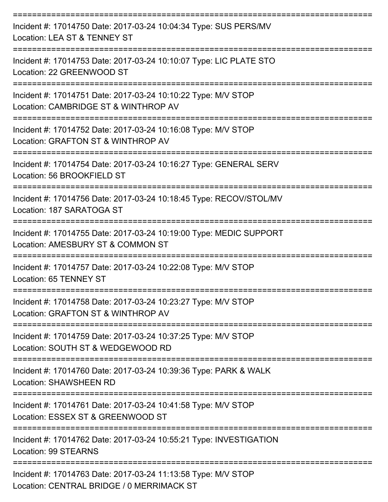| Incident #: 17014750 Date: 2017-03-24 10:04:34 Type: SUS PERS/MV<br>Location: LEA ST & TENNEY ST           |
|------------------------------------------------------------------------------------------------------------|
| Incident #: 17014753 Date: 2017-03-24 10:10:07 Type: LIC PLATE STO<br>Location: 22 GREENWOOD ST            |
| Incident #: 17014751 Date: 2017-03-24 10:10:22 Type: M/V STOP<br>Location: CAMBRIDGE ST & WINTHROP AV      |
| Incident #: 17014752 Date: 2017-03-24 10:16:08 Type: M/V STOP<br>Location: GRAFTON ST & WINTHROP AV        |
| Incident #: 17014754 Date: 2017-03-24 10:16:27 Type: GENERAL SERV<br>Location: 56 BROOKFIELD ST            |
| Incident #: 17014756 Date: 2017-03-24 10:18:45 Type: RECOV/STOL/MV<br>Location: 187 SARATOGA ST            |
| Incident #: 17014755 Date: 2017-03-24 10:19:00 Type: MEDIC SUPPORT<br>Location: AMESBURY ST & COMMON ST    |
| Incident #: 17014757 Date: 2017-03-24 10:22:08 Type: M/V STOP<br>Location: 65 TENNEY ST                    |
| Incident #: 17014758 Date: 2017-03-24 10:23:27 Type: M/V STOP<br>Location: GRAFTON ST & WINTHROP AV        |
| Incident #: 17014759 Date: 2017-03-24 10:37:25 Type: M/V STOP<br>Location: SOUTH ST & WEDGEWOOD RD         |
| Incident #: 17014760 Date: 2017-03-24 10:39:36 Type: PARK & WALK<br>Location: SHAWSHEEN RD                 |
| Incident #: 17014761 Date: 2017-03-24 10:41:58 Type: M/V STOP<br>Location: ESSEX ST & GREENWOOD ST         |
| Incident #: 17014762 Date: 2017-03-24 10:55:21 Type: INVESTIGATION<br>Location: 99 STEARNS                 |
| Incident #: 17014763 Date: 2017-03-24 11:13:58 Type: M/V STOP<br>Location: CENTRAL BRIDGE / 0 MERRIMACK ST |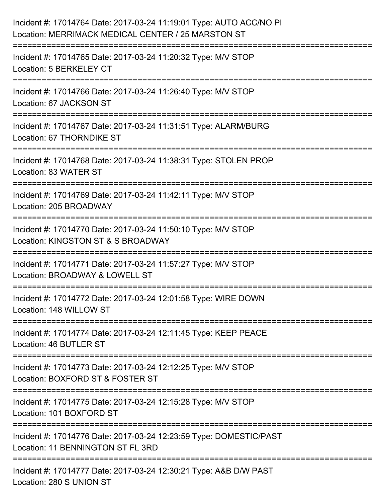| Incident #: 17014764 Date: 2017-03-24 11:19:01 Type: AUTO ACC/NO PI<br>Location: MERRIMACK MEDICAL CENTER / 25 MARSTON ST     |
|-------------------------------------------------------------------------------------------------------------------------------|
| ========================<br>Incident #: 17014765 Date: 2017-03-24 11:20:32 Type: M/V STOP<br>Location: 5 BERKELEY CT          |
| Incident #: 17014766 Date: 2017-03-24 11:26:40 Type: M/V STOP<br>Location: 67 JACKSON ST<br>:================================ |
| Incident #: 17014767 Date: 2017-03-24 11:31:51 Type: ALARM/BURG<br>Location: 67 THORNDIKE ST<br>:===================          |
| Incident #: 17014768 Date: 2017-03-24 11:38:31 Type: STOLEN PROP<br>Location: 83 WATER ST                                     |
| Incident #: 17014769 Date: 2017-03-24 11:42:11 Type: M/V STOP<br>Location: 205 BROADWAY                                       |
| Incident #: 17014770 Date: 2017-03-24 11:50:10 Type: M/V STOP<br>Location: KINGSTON ST & S BROADWAY                           |
| Incident #: 17014771 Date: 2017-03-24 11:57:27 Type: M/V STOP<br>Location: BROADWAY & LOWELL ST                               |
| Incident #: 17014772 Date: 2017-03-24 12:01:58 Type: WIRE DOWN<br>Location: 148 WILLOW ST                                     |
| Incident #: 17014774 Date: 2017-03-24 12:11:45 Type: KEEP PEACE<br>Location: 46 BUTLER ST                                     |
| Incident #: 17014773 Date: 2017-03-24 12:12:25 Type: M/V STOP<br>Location: BOXFORD ST & FOSTER ST                             |
| Incident #: 17014775 Date: 2017-03-24 12:15:28 Type: M/V STOP<br>Location: 101 BOXFORD ST                                     |
| Incident #: 17014776 Date: 2017-03-24 12:23:59 Type: DOMESTIC/PAST<br>Location: 11 BENNINGTON ST FL 3RD                       |
| Incident #: 17014777 Date: 2017-03-24 12:30:21 Type: A&B D/W PAST<br>Location: 280 S UNION ST                                 |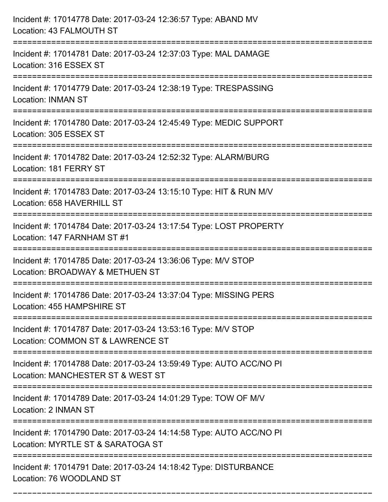| Incident #: 17014778 Date: 2017-03-24 12:36:57 Type: ABAND MV<br>Location: 43 FALMOUTH ST                |
|----------------------------------------------------------------------------------------------------------|
| Incident #: 17014781 Date: 2017-03-24 12:37:03 Type: MAL DAMAGE<br>Location: 316 ESSEX ST                |
| Incident #: 17014779 Date: 2017-03-24 12:38:19 Type: TRESPASSING<br><b>Location: INMAN ST</b>            |
| Incident #: 17014780 Date: 2017-03-24 12:45:49 Type: MEDIC SUPPORT<br>Location: 305 ESSEX ST             |
| Incident #: 17014782 Date: 2017-03-24 12:52:32 Type: ALARM/BURG<br>Location: 181 FERRY ST                |
| Incident #: 17014783 Date: 2017-03-24 13:15:10 Type: HIT & RUN M/V<br>Location: 658 HAVERHILL ST         |
| Incident #: 17014784 Date: 2017-03-24 13:17:54 Type: LOST PROPERTY<br>Location: 147 FARNHAM ST #1        |
| Incident #: 17014785 Date: 2017-03-24 13:36:06 Type: M/V STOP<br>Location: BROADWAY & METHUEN ST         |
| Incident #: 17014786 Date: 2017-03-24 13:37:04 Type: MISSING PERS<br>Location: 455 HAMPSHIRE ST          |
| Incident #: 17014787 Date: 2017-03-24 13:53:16 Type: M/V STOP<br>Location: COMMON ST & LAWRENCE ST       |
| Incident #: 17014788 Date: 2017-03-24 13:59:49 Type: AUTO ACC/NO PI<br>Location: MANCHESTER ST & WEST ST |
| Incident #: 17014789 Date: 2017-03-24 14:01:29 Type: TOW OF M/V<br>Location: 2 INMAN ST                  |
| Incident #: 17014790 Date: 2017-03-24 14:14:58 Type: AUTO ACC/NO PI<br>Location: MYRTLE ST & SARATOGA ST |
| Incident #: 17014791 Date: 2017-03-24 14:18:42 Type: DISTURBANCE<br>Location: 76 WOODLAND ST             |

===========================================================================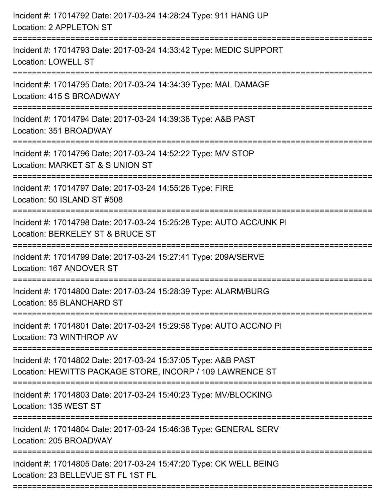| Incident #: 17014792 Date: 2017-03-24 14:28:24 Type: 911 HANG UP<br>Location: 2 APPLETON ST                                |
|----------------------------------------------------------------------------------------------------------------------------|
| Incident #: 17014793 Date: 2017-03-24 14:33:42 Type: MEDIC SUPPORT<br><b>Location: LOWELL ST</b><br>==========             |
| Incident #: 17014795 Date: 2017-03-24 14:34:39 Type: MAL DAMAGE<br>Location: 415 S BROADWAY                                |
| Incident #: 17014794 Date: 2017-03-24 14:39:38 Type: A&B PAST<br>Location: 351 BROADWAY                                    |
| Incident #: 17014796 Date: 2017-03-24 14:52:22 Type: M/V STOP<br>Location: MARKET ST & S UNION ST                          |
| Incident #: 17014797 Date: 2017-03-24 14:55:26 Type: FIRE<br>Location: 50 ISLAND ST #508                                   |
| Incident #: 17014798 Date: 2017-03-24 15:25:28 Type: AUTO ACC/UNK PI<br>Location: BERKELEY ST & BRUCE ST                   |
| Incident #: 17014799 Date: 2017-03-24 15:27:41 Type: 209A/SERVE<br>Location: 167 ANDOVER ST                                |
| Incident #: 17014800 Date: 2017-03-24 15:28:39 Type: ALARM/BURG<br>Location: 85 BLANCHARD ST                               |
| Incident #: 17014801 Date: 2017-03-24 15:29:58 Type: AUTO ACC/NO PI<br>Location: 73 WINTHROP AV                            |
| Incident #: 17014802 Date: 2017-03-24 15:37:05 Type: A&B PAST<br>Location: HEWITTS PACKAGE STORE, INCORP / 109 LAWRENCE ST |
| Incident #: 17014803 Date: 2017-03-24 15:40:23 Type: MV/BLOCKING<br>Location: 135 WEST ST                                  |
| Incident #: 17014804 Date: 2017-03-24 15:46:38 Type: GENERAL SERV<br>Location: 205 BROADWAY                                |
| Incident #: 17014805 Date: 2017-03-24 15:47:20 Type: CK WELL BEING<br>Location: 23 BELLEVUE ST FL 1ST FL                   |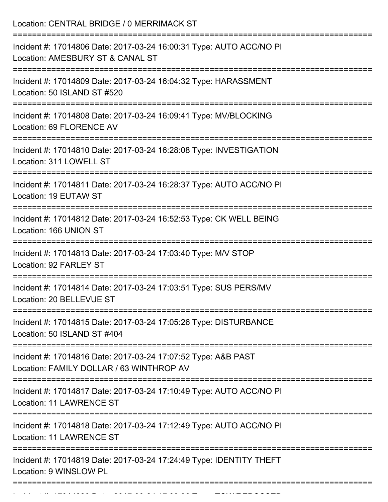Location: CENTRAL BRIDGE / 0 MERRIMACK ST =========================================================================== Incident #: 17014806 Date: 2017-03-24 16:00:31 Type: AUTO ACC/NO PI Location: AMESBURY ST & CANAL ST =========================================================================== Incident #: 17014809 Date: 2017-03-24 16:04:32 Type: HARASSMENT Location: 50 ISLAND ST #520 =========================================================================== Incident #: 17014808 Date: 2017-03-24 16:09:41 Type: MV/BLOCKING Location: 69 FLORENCE AV =========================================================================== Incident #: 17014810 Date: 2017-03-24 16:28:08 Type: INVESTIGATION Location: 311 LOWELL ST =========================================================================== Incident #: 17014811 Date: 2017-03-24 16:28:37 Type: AUTO ACC/NO PI Location: 19 EUTAW ST =========================================================================== Incident #: 17014812 Date: 2017-03-24 16:52:53 Type: CK WELL BEING Location: 166 UNION ST =========================================================================== Incident #: 17014813 Date: 2017-03-24 17:03:40 Type: M/V STOP Location: 92 FARLEY ST =========================================================================== Incident #: 17014814 Date: 2017-03-24 17:03:51 Type: SUS PERS/MV Location: 20 BELLEVUE ST =========================================================================== Incident #: 17014815 Date: 2017-03-24 17:05:26 Type: DISTURBANCE Location: 50 ISLAND ST #404 =========================================================================== Incident #: 17014816 Date: 2017-03-24 17:07:52 Type: A&B PAST Location: FAMILY DOLLAR / 63 WINTHROP AV =========================================================================== Incident #: 17014817 Date: 2017-03-24 17:10:49 Type: AUTO ACC/NO PI Location: 11 LAWRENCE ST =========================================================================== Incident #: 17014818 Date: 2017-03-24 17:12:49 Type: AUTO ACC/NO PI Location: 11 LAWRENCE ST =========================================================================== Incident #: 17014819 Date: 2017-03-24 17:24:49 Type: IDENTITY THEFT Location: 9 WINSLOW PL ===========================================================================

Incident #: 17014820 Date: 2017 03 24 17:33:36 Type: TOW/REPOSSED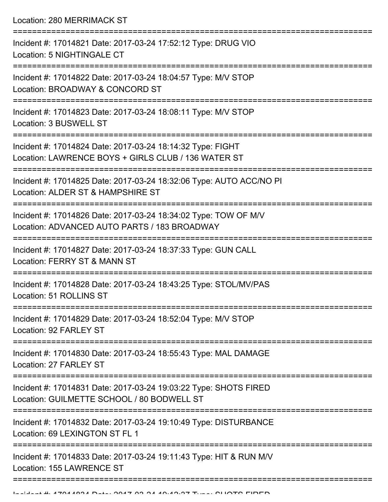Location: 280 MERRIMACK ST =========================================================================== Incident #: 17014821 Date: 2017-03-24 17:52:12 Type: DRUG VIO Location: 5 NIGHTINGALE CT =========================================================================== Incident #: 17014822 Date: 2017-03-24 18:04:57 Type: M/V STOP Location: BROADWAY & CONCORD ST =========================================================================== Incident #: 17014823 Date: 2017-03-24 18:08:11 Type: M/V STOP Location: 3 BUSWELL ST =========================================================================== Incident #: 17014824 Date: 2017-03-24 18:14:32 Type: FIGHT Location: LAWRENCE BOYS + GIRLS CLUB / 136 WATER ST =========================================================================== Incident #: 17014825 Date: 2017-03-24 18:32:06 Type: AUTO ACC/NO PI Location: ALDER ST & HAMPSHIRE ST =========================================================================== Incident #: 17014826 Date: 2017-03-24 18:34:02 Type: TOW OF M/V Location: ADVANCED AUTO PARTS / 183 BROADWAY =========================================================================== Incident #: 17014827 Date: 2017-03-24 18:37:33 Type: GUN CALL Location: FERRY ST & MANN ST =========================================================================== Incident #: 17014828 Date: 2017-03-24 18:43:25 Type: STOL/MV/PAS Location: 51 ROLLINS ST =========================================================================== Incident #: 17014829 Date: 2017-03-24 18:52:04 Type: M/V STOP Location: 92 FARLEY ST =========================================================================== Incident #: 17014830 Date: 2017-03-24 18:55:43 Type: MAL DAMAGE Location: 27 FARL FY ST =========================================================================== Incident #: 17014831 Date: 2017-03-24 19:03:22 Type: SHOTS FIRED Location: GUILMETTE SCHOOL / 80 BODWELL ST =========================================================================== Incident #: 17014832 Date: 2017-03-24 19:10:49 Type: DISTURBANCE Location: 69 LEXINGTON ST FL 1 =========================================================================== Incident #: 17014833 Date: 2017-03-24 19:11:43 Type: HIT & RUN M/V Location: 155 LAWRENCE ST ======================================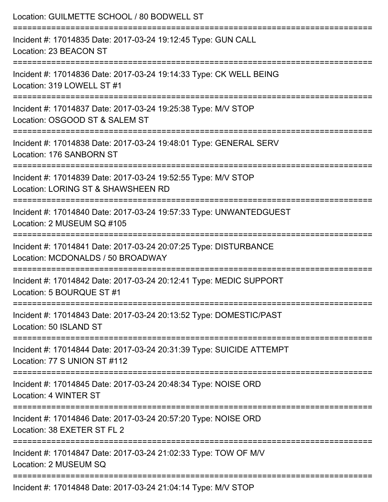| Location: GUILMETTE SCHOOL / 80 BODWELL ST                                                                                              |
|-----------------------------------------------------------------------------------------------------------------------------------------|
| Incident #: 17014835 Date: 2017-03-24 19:12:45 Type: GUN CALL<br>Location: 23 BEACON ST                                                 |
| Incident #: 17014836 Date: 2017-03-24 19:14:33 Type: CK WELL BEING<br>Location: 319 LOWELL ST #1                                        |
| Incident #: 17014837 Date: 2017-03-24 19:25:38 Type: M/V STOP<br>Location: OSGOOD ST & SALEM ST<br>==================================== |
| Incident #: 17014838 Date: 2017-03-24 19:48:01 Type: GENERAL SERV<br>Location: 176 SANBORN ST                                           |
| Incident #: 17014839 Date: 2017-03-24 19:52:55 Type: M/V STOP<br>Location: LORING ST & SHAWSHEEN RD                                     |
| Incident #: 17014840 Date: 2017-03-24 19:57:33 Type: UNWANTEDGUEST<br>Location: 2 MUSEUM SQ #105                                        |
| Incident #: 17014841 Date: 2017-03-24 20:07:25 Type: DISTURBANCE<br>Location: MCDONALDS / 50 BROADWAY                                   |
| Incident #: 17014842 Date: 2017-03-24 20:12:41 Type: MEDIC SUPPORT<br>Location: 5 BOURQUE ST #1                                         |
| Incident #: 17014843 Date: 2017-03-24 20:13:52 Type: DOMESTIC/PAST<br>Location: 50 ISLAND ST                                            |
| Incident #: 17014844 Date: 2017-03-24 20:31:39 Type: SUICIDE ATTEMPT<br>Location: 77 S UNION ST #112                                    |
| Incident #: 17014845 Date: 2017-03-24 20:48:34 Type: NOISE ORD<br>Location: 4 WINTER ST                                                 |
| Incident #: 17014846 Date: 2017-03-24 20:57:20 Type: NOISE ORD<br>Location: 38 EXETER ST FL 2                                           |
| Incident #: 17014847 Date: 2017-03-24 21:02:33 Type: TOW OF M/V<br>Location: 2 MUSEUM SQ                                                |
| Locident #: 17011010 Dete: 2017 02.21.21:04:14 Tupe: MALCTOD                                                                            |

Incident #: 17014848 Date: 2017-03-24 21:04:14 Type: M/V STOP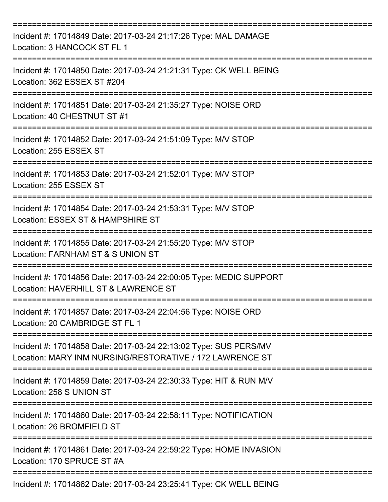| Incident #: 17014849 Date: 2017-03-24 21:17:26 Type: MAL DAMAGE<br>Location: 3 HANCOCK ST FL 1                               |
|------------------------------------------------------------------------------------------------------------------------------|
| Incident #: 17014850 Date: 2017-03-24 21:21:31 Type: CK WELL BEING<br>Location: 362 ESSEX ST #204                            |
| Incident #: 17014851 Date: 2017-03-24 21:35:27 Type: NOISE ORD<br>Location: 40 CHESTNUT ST #1                                |
| Incident #: 17014852 Date: 2017-03-24 21:51:09 Type: M/V STOP<br>Location: 255 ESSEX ST                                      |
| Incident #: 17014853 Date: 2017-03-24 21:52:01 Type: M/V STOP<br>Location: 255 ESSEX ST                                      |
| Incident #: 17014854 Date: 2017-03-24 21:53:31 Type: M/V STOP<br>Location: ESSEX ST & HAMPSHIRE ST                           |
| Incident #: 17014855 Date: 2017-03-24 21:55:20 Type: M/V STOP<br>Location: FARNHAM ST & S UNION ST                           |
| Incident #: 17014856 Date: 2017-03-24 22:00:05 Type: MEDIC SUPPORT<br>Location: HAVERHILL ST & LAWRENCE ST                   |
| Incident #: 17014857 Date: 2017-03-24 22:04:56 Type: NOISE ORD<br>Location: 20 CAMBRIDGE ST FL 1                             |
| Incident #: 17014858 Date: 2017-03-24 22:13:02 Type: SUS PERS/MV<br>Location: MARY INM NURSING/RESTORATIVE / 172 LAWRENCE ST |
| Incident #: 17014859 Date: 2017-03-24 22:30:33 Type: HIT & RUN M/V<br>Location: 258 S UNION ST                               |
| Incident #: 17014860 Date: 2017-03-24 22:58:11 Type: NOTIFICATION<br>Location: 26 BROMFIELD ST                               |
| Incident #: 17014861 Date: 2017-03-24 22:59:22 Type: HOME INVASION<br>Location: 170 SPRUCE ST #A                             |
| Incident #: 17014862 Date: 2017-03-24 23:25:41 Type: CK WELL BEING                                                           |